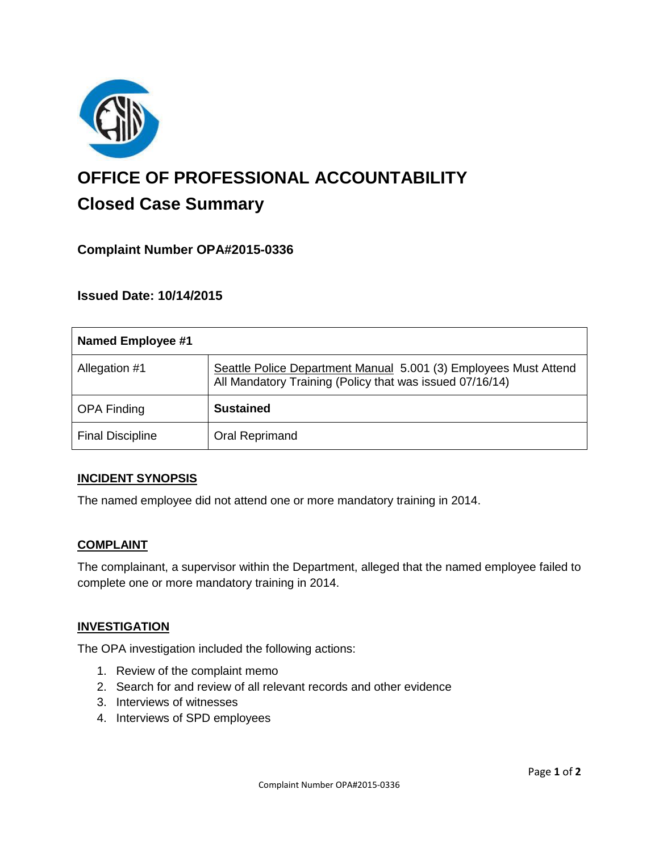

# **OFFICE OF PROFESSIONAL ACCOUNTABILITY Closed Case Summary**

## **Complaint Number OPA#2015-0336**

**Issued Date: 10/14/2015**

| Named Employee #1       |                                                                                                                              |
|-------------------------|------------------------------------------------------------------------------------------------------------------------------|
| Allegation #1           | Seattle Police Department Manual 5.001 (3) Employees Must Attend<br>All Mandatory Training (Policy that was issued 07/16/14) |
| <b>OPA Finding</b>      | <b>Sustained</b>                                                                                                             |
| <b>Final Discipline</b> | Oral Reprimand                                                                                                               |

#### **INCIDENT SYNOPSIS**

The named employee did not attend one or more mandatory training in 2014.

#### **COMPLAINT**

The complainant, a supervisor within the Department, alleged that the named employee failed to complete one or more mandatory training in 2014.

#### **INVESTIGATION**

The OPA investigation included the following actions:

- 1. Review of the complaint memo
- 2. Search for and review of all relevant records and other evidence
- 3. Interviews of witnesses
- 4. Interviews of SPD employees